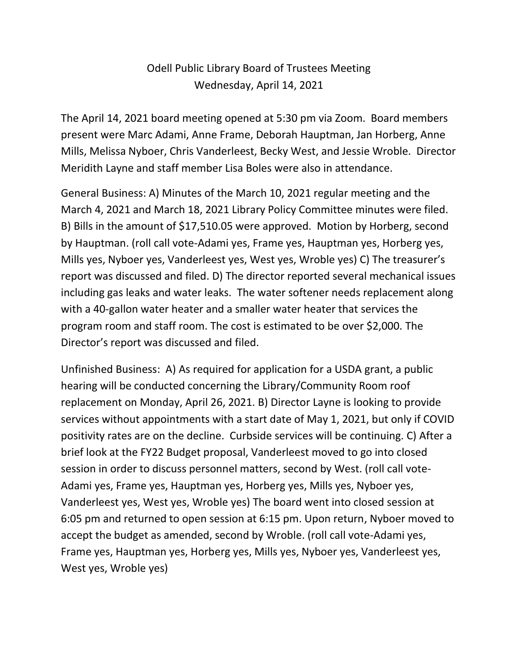## Odell Public Library Board of Trustees Meeting Wednesday, April 14, 2021

The April 14, 2021 board meeting opened at 5:30 pm via Zoom. Board members present were Marc Adami, Anne Frame, Deborah Hauptman, Jan Horberg, Anne Mills, Melissa Nyboer, Chris Vanderleest, Becky West, and Jessie Wroble. Director Meridith Layne and staff member Lisa Boles were also in attendance.

General Business: A) Minutes of the March 10, 2021 regular meeting and the March 4, 2021 and March 18, 2021 Library Policy Committee minutes were filed. B) Bills in the amount of \$17,510.05 were approved. Motion by Horberg, second by Hauptman. (roll call vote-Adami yes, Frame yes, Hauptman yes, Horberg yes, Mills yes, Nyboer yes, Vanderleest yes, West yes, Wroble yes) C) The treasurer's report was discussed and filed. D) The director reported several mechanical issues including gas leaks and water leaks. The water softener needs replacement along with a 40-gallon water heater and a smaller water heater that services the program room and staff room. The cost is estimated to be over \$2,000. The Director's report was discussed and filed.

Unfinished Business: A) As required for application for a USDA grant, a public hearing will be conducted concerning the Library/Community Room roof replacement on Monday, April 26, 2021. B) Director Layne is looking to provide services without appointments with a start date of May 1, 2021, but only if COVID positivity rates are on the decline. Curbside services will be continuing. C) After a brief look at the FY22 Budget proposal, Vanderleest moved to go into closed session in order to discuss personnel matters, second by West. (roll call vote-Adami yes, Frame yes, Hauptman yes, Horberg yes, Mills yes, Nyboer yes, Vanderleest yes, West yes, Wroble yes) The board went into closed session at 6:05 pm and returned to open session at 6:15 pm. Upon return, Nyboer moved to accept the budget as amended, second by Wroble. (roll call vote-Adami yes, Frame yes, Hauptman yes, Horberg yes, Mills yes, Nyboer yes, Vanderleest yes, West yes, Wroble yes)